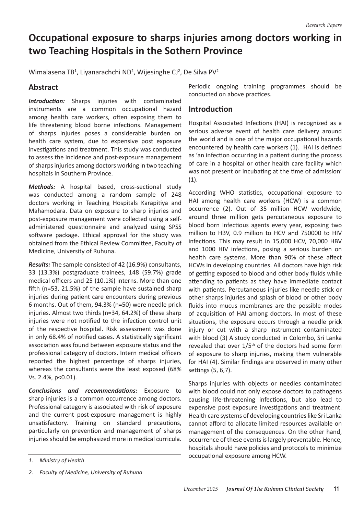# **Occupational exposure to sharps injuries among doctors working in two Teaching Hospitals in the Sothern Province**

Wimalasena TB<sup>1</sup>, Liyanarachchi ND<sup>2</sup>, Wijesinghe CJ<sup>2</sup>, De Silva PV<sup>2</sup>

# **Abstract**

**Introduction:** Sharps injuries with contaminated instruments are a common occupational hazard among health care workers, often exposing them to life threatening blood borne infections. Management of sharps injuries poses a considerable burden on health care system, due to expensive post exposure investigations and treatment. This study was conducted to assess the incidence and post-exposure management of sharps injuries among doctors working in two teaching hospitals in Southern Province.

*Methods:* A hospital based, cross-sectional study was conducted among a random sample of 248 doctors working in Teaching Hospitals Karapitiya and Mahamodara. Data on exposure to sharp injuries and post-exposure management were collected using a selfadministered questionnaire and analyzed using SPSS software package. Ethical approval for the study was obtained from the Ethical Review Committee, Faculty of Medicine, University of Ruhuna.

*Results:* The sample consisted of 42 (16.9%) consultants, 33 (13.3%) postgraduate trainees, 148 (59.7%) grade medical officers and 25 (10.1%) interns. More than one fifth (n=53, 21.5%) of the sample have sustained sharp injuries during patient care encounters during previous 6 months. Out of them, 94.3% (n=50) were needle prick injuries. Almost two thirds (n=34, 64.2%) of these sharp injuries were not notified to the infection control unit of the respective hospital. Risk assessment was done in only 68.4% of notified cases. A statistically significant association was found between exposure status and the professional category of doctors. Intern medical officers reported the highest percentage of sharps injuries, whereas the consultants were the least exposed (68% Vs. 2.4%, p<0.01).

*Conclusions and recommendations:* Exposure to sharp injuries is a common occurrence among doctors. Professional category is associated with risk of exposure and the current post-exposure management is highly unsatisfactory. Training on standard precautions, particularly on prevention and management of sharps injuries should be emphasized more in medical curricula. Periodic ongoing training programmes should be conducted on above practices.

## **Introduction**

Hospital Associated Infections (HAI) is recognized as a serious adverse event of health care delivery around the world and is one of the major occupational hazards encountered by health care workers (1). HAI is defined as 'an infection occurring in a patient during the process of care in a hospital or other health care facility which was not present or incubating at the time of admission' (1).

According WHO statistics, occupational exposure to HAI among health care workers (HCW) is a common occurrence (2). Out of 35 million HCW worldwide, around three million gets percutaneous exposure to blood born infectious agents every year, exposing two million to HBV, 0.9 million to HCV and 750000 to HIV infections. This may result in 15,000 HCV, 70,000 HBV and 1000 HIV infections, posing a serious burden on health care systems. More than 90% of these affect HCWs in developing countries. All doctors have high risk of getting exposed to blood and other body fluids while attending to patients as they have immediate contact with patients. Percutaneous injuries like needle stick or other sharps injuries and splash of blood or other body fluids into mucus membranes are the possible modes of acquisition of HAI among doctors. In most of these situations, the exposure occurs through a needle prick injury or cut with a sharp instrument contaminated with blood (3) A study conducted in Colombo, Sri Lanka revealed that over  $1/5<sup>th</sup>$  of the doctors had some form of exposure to sharp injuries, making them vulnerable for HAI (4). Similar findings are observed in many other settings (5, 6,7).

Sharps injuries with objects or needles contaminated with blood could not only expose doctors to pathogens causing life-threatening infections, but also lead to expensive post exposure investigations and treatment. Health care systems of developing countries like Sri Lanka cannot afford to allocate limited resources available on management of the consequences. On the other hand, occurrence of these events is largely preventable. Hence, hospitals should have policies and protocols to minimize occupational exposure among HCW.

*<sup>1.</sup> Ministry of Health* 

*<sup>2.</sup> Faculty of Medicine, University of Ruhuna*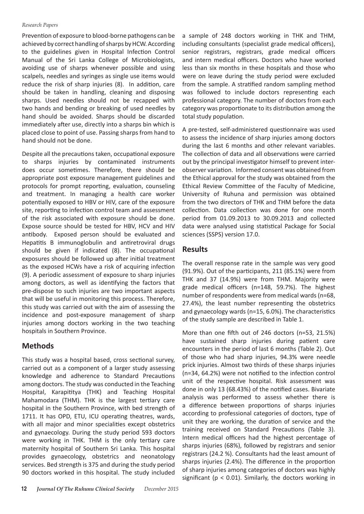#### *Research Papers*

Prevention of exposure to blood-borne pathogens can be achieved by correct handling of sharps by HCW. According to the guidelines given in Hospital Infection Control Manual of the Sri Lanka College of Microbiologists, avoiding use of sharps whenever possible and using scalpels, needles and syringes as single use items would reduce the risk of sharp injuries (8). In addition, care should be taken in handling, cleaning and disposing sharps. Used needles should not be recapped with two hands and bending or breaking of used needles by hand should be avoided. Sharps should be discarded immediately after use, directly into a sharps bin which is placed close to point of use. Passing sharps from hand to hand should not be done.

Despite all the precautions taken, occupational exposure to sharps injuries by contaminated instruments does occur sometimes. Therefore, there should be appropriate post exposure management guidelines and protocols for prompt reporting, evaluation, counseling and treatment. In managing a health care worker potentially exposed to HBV or HIV, care of the exposure site, reporting to infection control team and assessment of the risk associated with exposure should be done. Expose source should be tested for HBV, HCV and HIV antibody. Exposed person should be evaluated and Hepatitis B immunoglobulin and antiretroviral drugs should be given if indicated (8). The occupational exposures should be followed up after initial treatment as the exposed HCWs have a risk of acquiring infection (9). A periodic assessment of exposure to sharp injuries among doctors, as well as identifying the factors that pre-dispose to such injuries are two important aspects that will be useful in monitoring this process. Therefore, this study was carried out with the aim of assessing the incidence and post-exposure management of sharp injuries among doctors working in the two teaching hospitals in Southern Province.

# **Methods**

This study was a hospital based, cross sectional survey, carried out as a component of a larger study assessing knowledge and adherence to Standard Precautions among doctors. The study was conducted in the Teaching Hospital, Karapititya (THK) and Teaching Hospital Mahamodara (THM). THK is the largest tertiary care hospital in the Southern Province, with bed strength of 1711. It has OPD, ETU, ICU operating theatres, wards, with all major and minor specialities except obstetrics and gynaecology. During the study period 593 doctors were working in THK. THM is the only tertiary care maternity hospital of Southern Sri Lanka. This hospital provides gynaecology, obstetrics and neonatology services. Bed strength is 375 and during the study period 90 doctors worked in this hospital. The study included

a sample of 248 doctors working in THK and THM, including consultants (specialist grade medical officers), senior registrars, registrars, grade medical officers and intern medical officers. Doctors who have worked less than six months in these hospitals and those who were on leave during the study period were excluded from the sample. A stratified random sampling method was followed to include doctors representing each professional category. The number of doctors from each category was proportionate to its distribution among the total study population.

A pre-tested, self-administered questionnaire was used to assess the incidence of sharp injuries among doctors during the last 6 months and other relevant variables. The collection of data and all observations were carried out by the principal investigator himself to prevent interobserver variation. Informed consent was obtained from the Ethical approval for the study was obtained from the Ethical Review Committee of the Faculty of Medicine, University of Ruhuna and permission was obtained from the two directors of THK and THM before the data collection. Data collection was done for one month period from 01.09.2013 to 30.09.2013 and collected data were analysed using statistical Package for Social sciences (SSPS) version 17.0.

# **Results**

The overall response rate in the sample was very good (91.9%). Out of the participants, 211 (85.1%) were from THK and 37 (14.9%) were from THM. Majority were grade medical officers (n=148, 59.7%). The highest number of respondents were from medical wards (n=68, 27.4%), the least number representing the obstetrics and gynaecology wards (n=15, 6.0%). The characteristics of the study sample are described in Table 1.

More than one fifth out of 246 doctors (n=53, 21.5%) have sustained sharp injuries during patient care encounters in the period of last 6 months (Table 2). Out of those who had sharp injuries, 94.3% were needle prick injuries. Almost two thirds of these sharps injuries (n=34, 64.2%) were not notified to the infection control unit of the respective hospital. Risk assessment was done in only 13 (68.43%) of the notified cases. Bivariate analysis was performed to assess whether there is a difference between proportions of sharps injuries according to professional categories of doctors, type of unit they are working, the duration of service and the training received on Standard Precautions (Table 3). Intern medical officers had the highest percentage of sharps injuries (68%), followed by registrars and senior registrars (24.2 %). Consultants had the least amount of sharps injuries (2.4%). The difference in the proportion of sharp injuries among categories of doctors was highly significant ( $p < 0.01$ ). Similarly, the doctors working in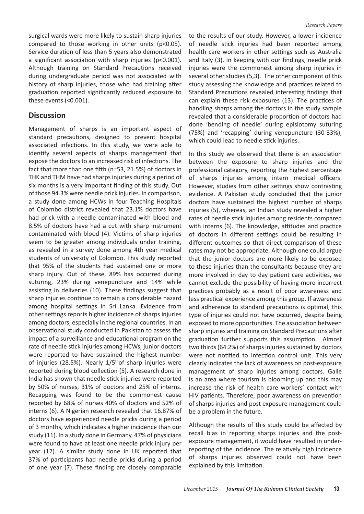surgical wards were more likely to sustain sharp injuries compared to those working in other units (p<0.05). Service duration of less than 5 years also demonstrated a significant association with sharp injuries (p<0.001). Although training on Standard Precautions received during undergraduate period was not associated with history of sharp injuries, those who had training after graduation reported significantly reduced exposure to these events (<0.001).

### **Discussion**

Management of sharps is an important aspect of standard precautions, designed to prevent hospital associated infections. In this study, we were able to identify several aspects of sharps management that expose the doctors to an increased risk of infections. The fact that more than one fifth (n=53, 21.5%) of doctors in THK and THM have had sharps injuries during a period of six months is a very important finding of this study. Out ofthose 94.3% were needle prick injuries. In comparison, a study done among HCWs in four Teaching Hospitals of Colombo district revealed that 23.1% doctors have had prick with a needle contaminated with blood and 8.5% of doctors have had a cut with sharp instrument contaminated with blood (4). Victims of sharp injuries seem to be greater among individuals under training, as revealed in a survey done among 4th year medical students of university of Colombo. This study reported that 95% of the students had sustained one or more sharp injury. Out of these, 89% has occurred during suturing, 23% during venepuncture and 14% while assisting in deliveries (10). These findings suggest that sharp injuries continue to remain a considerable hazard among hospital settings in Sri Lanka. Evidence from other settings reports higher incidence of sharps injuries among doctors, especially in the regional countries. In an observational study conducted in Pakistan to assess the impact of a surveillance and educational program on the rate of needle stick injuries among HCWs, junior doctors were reported to have sustained the highest number of injuries (28.5%). Nearly  $1/5$ <sup>th</sup>of sharp injuries were reported during blood collection (5). A research done in India has shown that needle stick injuries were reported by 50% of nurses, 31% of doctors and 25% of interns. Recapping was found to be the commonest cause reported by 68% of nurses 40% of doctors and 52% of interns (6). A Nigerian research revealed that 16.87% of doctors have experienced needle pricks during a period of 3 months, which indicates a higher incidence than our study (11). In a study done in Germany, 47% of physicians were found to have at least one needle prick injury per year (12). A similar study done in UK reported that 37% of participants had needle pricks during a period of one year (7). These finding are closely comparable

to the results of our study. However, a lower incidence of needle stick injuries had been reported among health care workers in other settings such as Australia and Italy (3). In keeping with our findings, needle prick injuries were the commonest among sharp injuries in several other studies (5,3). The other component of this study assessing the knowledge and practices related to Standard Precautions revealed interesting findings that can explain these risk exposures (13). The practices of handling sharps among the doctors in the study sample revealed that a considerable proportion of doctors had done 'bending of needle' during episiotomy suturing (75%) and 'recapping' during venepuncture (30-33%), which could lead to needle stick injuries.

In this study we observed that there is an association between the exposure to sharp injuries and the professional category, reporting the highest percentage of sharps injuries among intern medical officers. However, studies from other settings show contrasting evidence. A Pakistan study concluded that the junior doctors have sustained the highest number of sharps injuries (5), whereas, an Indian study revealed a higher rates of needle stick injuries among residents compared with interns (6). The knowledge, attitudes and practice of doctors in different settings could be resulting in different outcomes so that direct comparison of these rates may not be appropriate. Although one could argue that the junior doctors are more likely to be exposed to these injuries than the consultants because they are more involved in day to day patient care activities, we cannot exclude the possibility of having more incorrect practices probably as a result of poor awareness and less practical experience among this group. If awareness and adherence to standard precautions is optimal, this type of injuries could not have occurred, despite being exposed to more opportunities. The association between sharp injuries and training on Standard Precautions after graduation further supports this assumption. Almost two thirds (64.2%) of sharps injuries sustained by doctors were not notified to infection control unit. This very clearly indicates the lack of awareness on post-exposure management of sharp injuries among doctors. Galle is an area where tourism is blooming up and this may increase the risk of health care workers' contact with HIV patients. Therefore, poor awareness on prevention of sharps injuries and post exposure management could be a problem in the future.

Although the results of this study could be affected by recall bias in reporting sharps injuries and the postexposure management, it would have resulted in underreporting of the incidence. The relatively high incidence of sharps injuries observed could not have been explained by this limitation.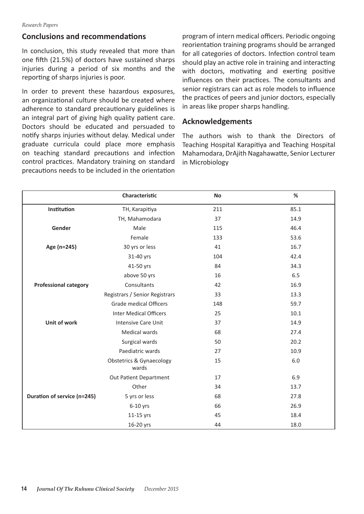## **Conclusions and recommendations**

In conclusion, this study revealed that more than one fifth (21.5%) of doctors have sustained sharps injuries during a period of six months and the reporting of sharps injuries is poor.

In order to prevent these hazardous exposures, an organizational culture should be created where adherence to standard precautionary guidelines is an integral part of giving high quality patient care. Doctors should be educated and persuaded to notify sharps injuries without delay. Medical under graduate curricula could place more emphasis on teaching standard precautions and infection control practices. Mandatory training on standard precautions needs to be included in the orientation program of intern medical officers. Periodic ongoing reorientation training programs should be arranged for all categories of doctors. Infection control team should play an active role in training and interacting with doctors, motivating and exerting positive influences on their practices. The consultants and senior registrars can act as role models to influence the practices of peers and junior doctors, especially in areas like proper sharps handling.

## **Acknowledgements**

The authors wish to thank the Directors of Teaching Hospital Karapitiya and Teaching Hospital Mahamodara, DrAjith Nagahawatte, Senior Lecturer in Microbiology

|                              | Characteristic                               | No  | $\%$ |
|------------------------------|----------------------------------------------|-----|------|
| Institution                  | TH, Karapitiya                               | 211 | 85.1 |
|                              | TH, Mahamodara                               | 37  | 14.9 |
| Gender                       | Male                                         | 115 | 46.4 |
|                              | Female                                       | 133 | 53.6 |
| Age (n=245)                  | 30 yrs or less                               | 41  | 16.7 |
|                              | 31-40 yrs                                    | 104 | 42.4 |
|                              | 41-50 yrs                                    | 84  | 34.3 |
|                              | above 50 yrs                                 | 16  | 6.5  |
| <b>Professional category</b> | Consultants                                  | 42  | 16.9 |
|                              | Registrars / Senior Registrars               | 33  | 13.3 |
|                              | <b>Grade medical Officers</b>                | 148 | 59.7 |
|                              | <b>Inter Medical Officers</b>                | 25  | 10.1 |
| Unit of work                 | <b>Intensive Care Unit</b>                   | 37  | 14.9 |
|                              | Medical wards                                | 68  | 27.4 |
|                              | Surgical wards                               | 50  | 20.2 |
|                              | Paediatric wards                             | 27  | 10.9 |
|                              | <b>Obstetrics &amp; Gynaecology</b><br>wards | 15  | 6.0  |
|                              | Out Patient Department                       | 17  | 6.9  |
|                              | Other                                        | 34  | 13.7 |
| Duration of service (n=245)  | 5 yrs or less                                | 68  | 27.8 |
|                              | $6-10$ yrs                                   | 66  | 26.9 |
|                              | 11-15 yrs                                    | 45  | 18.4 |
|                              | 16-20 yrs                                    | 44  | 18.0 |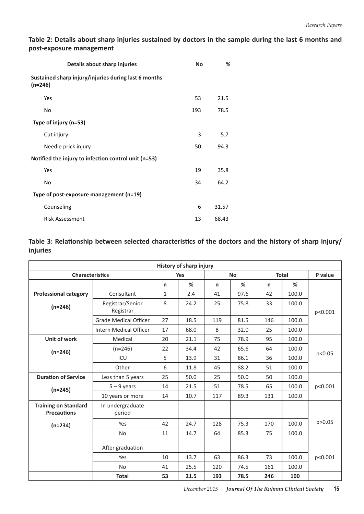**Table 2: Details about sharp injuries sustained by doctors in the sample during the last 6 months and post-exposure management** 

| Details about sharp injuries                                      | <b>No</b> | %     |
|-------------------------------------------------------------------|-----------|-------|
| Sustained sharp injury/injuries during last 6 months<br>$(n=246)$ |           |       |
| Yes                                                               | 53        | 21.5  |
| No                                                                | 193       | 78.5  |
| Type of injury (n=53)                                             |           |       |
| Cut injury                                                        | 3         | 5.7   |
| Needle prick injury                                               | 50        | 94.3  |
| Notified the injury to infection control unit (n=53)              |           |       |
| Yes                                                               | 19        | 35.8  |
| No                                                                | 34        | 64.2  |
| Type of post-exposure management (n=19)                           |           |       |
| Counseling                                                        | 6         | 31.57 |
| <b>Risk Assessment</b>                                            | 13        | 68.43 |

## **Table 3: Relationship between selected characteristics of the doctors and the history of sharp injury/ injuries**

| <b>History of sharp injury</b>                    |                               |              |      |     |           |     |              |         |  |  |  |
|---------------------------------------------------|-------------------------------|--------------|------|-----|-----------|-----|--------------|---------|--|--|--|
| <b>Characteristics</b>                            |                               | <b>Yes</b>   |      |     | <b>No</b> |     | <b>Total</b> |         |  |  |  |
|                                                   |                               | n            | %    | n   | %         | n   | %            |         |  |  |  |
| <b>Professional category</b>                      | Consultant                    | $\mathbf{1}$ | 2.4  | 41  | 97.6      | 42  | 100.0        |         |  |  |  |
| $(n=246)$                                         | Registrar/Senior<br>Registrar | 8            | 24.2 | 25  | 75.8      | 33  | 100.0        | p<0.001 |  |  |  |
|                                                   | <b>Grade Medical Officer</b>  | 27           | 18.5 | 119 | 81.5      | 146 | 100.0        |         |  |  |  |
|                                                   | <b>Intern Medical Officer</b> | 17           | 68.0 | 8   | 32.0      | 25  | 100.0        |         |  |  |  |
| Unit of work                                      | Medical                       | 20           | 21.1 | 75  | 78.9      | 95  | 100.0        | p<0.05  |  |  |  |
| $(n=246)$                                         | $(n=246)$                     | 22           | 34.4 | 42  | 65.6      | 64  | 100.0        |         |  |  |  |
|                                                   | ICU                           | 5            | 13.9 | 31  | 86.1      | 36  | 100.0        |         |  |  |  |
|                                                   | Other                         | 6            | 11.8 | 45  | 88.2      | 51  | 100.0        |         |  |  |  |
| <b>Duration of Service</b>                        | Less than 5 years             | 25           | 50.0 | 25  | 50.0      | 50  | 100.0        | p<0.001 |  |  |  |
| $(n=245)$                                         | $5 - 9$ years                 | 14           | 21.5 | 51  | 78.5      | 65  | 100.0        |         |  |  |  |
|                                                   | 10 years or more              | 14           | 10.7 | 117 | 89.3      | 131 | 100.0        |         |  |  |  |
| <b>Training on Standard</b><br><b>Precautions</b> | In undergraduate<br>period    |              |      |     |           |     |              |         |  |  |  |
| $(n=234)$                                         | Yes                           | 42           | 24.7 | 128 | 75.3      | 170 | 100.0        | p>0.05  |  |  |  |
|                                                   | <b>No</b>                     | 11           | 14.7 | 64  | 85.3      | 75  | 100.0        |         |  |  |  |
|                                                   | After graduation              |              |      |     |           |     |              |         |  |  |  |
|                                                   | Yes                           | 10           | 13.7 | 63  | 86.3      | 73  | 100.0        | p<0.001 |  |  |  |
|                                                   | <b>No</b>                     | 41           | 25.5 | 120 | 74.5      | 161 | 100.0        |         |  |  |  |
|                                                   | <b>Total</b>                  | 53           | 21.5 | 193 | 78.5      | 246 | 100          |         |  |  |  |